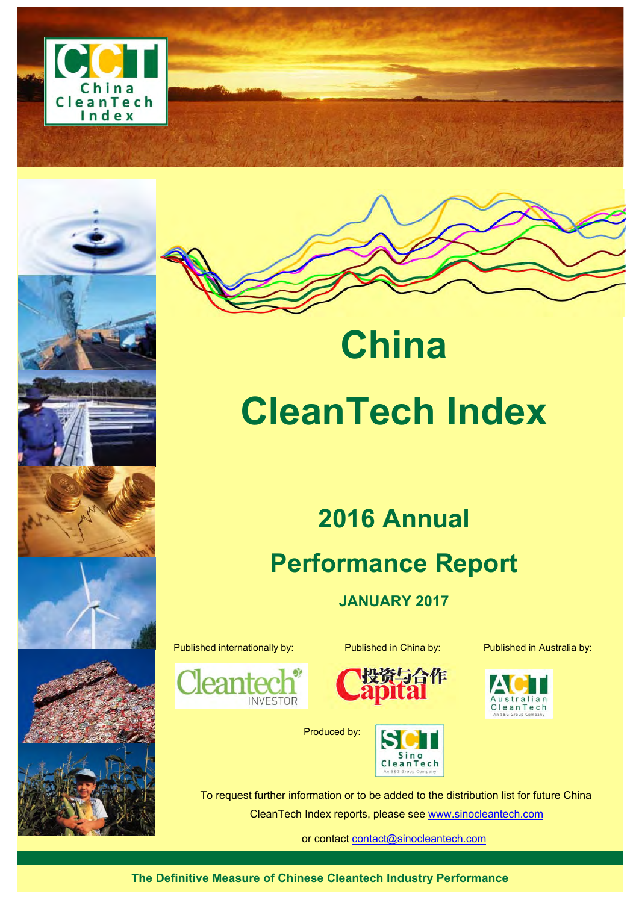



# **CleanTech Index**

**China** 

# **2016 Annual Performance Report**

**JANUARY 2017** 

Published internationally by: Published in China by: Published in Australia by:

**INVESTOR** 

lea



Produced by:





To request further information or to be added to the distribution list for future China CleanTech Index reports, please see www.sinocleantech.com

or contact contact@sinocleantech.com

**The Definitive Measure of Chinese Cleantech Industry Performance**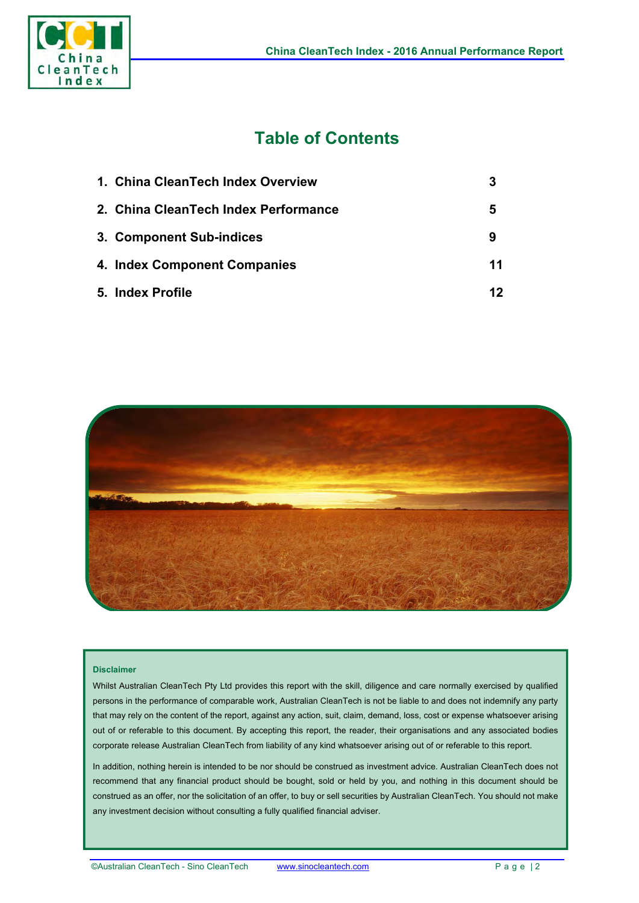

# **Table of Contents**

| 1. China CleanTech Index Overview    |    |
|--------------------------------------|----|
| 2. China CleanTech Index Performance | 5  |
| 3. Component Sub-indices             | 9  |
| 4. Index Component Companies         | 11 |
| 5. Index Profile                     | 12 |



#### **Disclaimer**

Whilst Australian CleanTech Pty Ltd provides this report with the skill, diligence and care normally exercised by qualified persons in the performance of comparable work, Australian CleanTech is not be liable to and does not indemnify any party that may rely on the content of the report, against any action, suit, claim, demand, loss, cost or expense whatsoever arising out of or referable to this document. By accepting this report, the reader, their organisations and any associated bodies corporate release Australian CleanTech from liability of any kind whatsoever arising out of or referable to this report.

In addition, nothing herein is intended to be nor should be construed as investment advice. Australian CleanTech does not recommend that any financial product should be bought, sold or held by you, and nothing in this document should be construed as an offer, nor the solicitation of an offer, to buy or sell securities by Australian CleanTech. You should not make any investment decision without consulting a fully qualified financial adviser.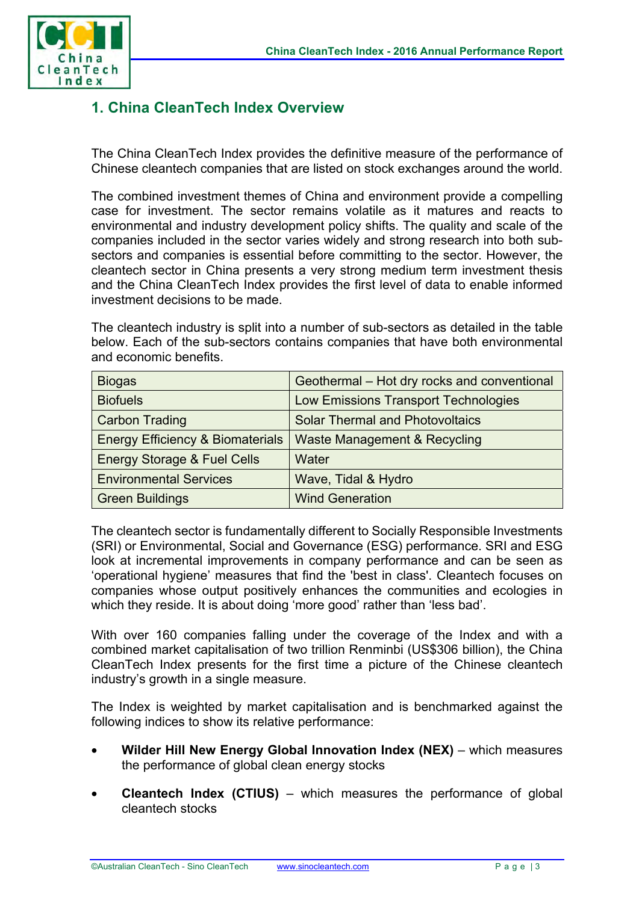

# **1. China CleanTech Index Overview**

The China CleanTech Index provides the definitive measure of the performance of Chinese cleantech companies that are listed on stock exchanges around the world.

The combined investment themes of China and environment provide a compelling case for investment. The sector remains volatile as it matures and reacts to environmental and industry development policy shifts. The quality and scale of the companies included in the sector varies widely and strong research into both subsectors and companies is essential before committing to the sector. However, the cleantech sector in China presents a very strong medium term investment thesis and the China CleanTech Index provides the first level of data to enable informed investment decisions to be made.

The cleantech industry is split into a number of sub-sectors as detailed in the table below. Each of the sub-sectors contains companies that have both environmental and economic benefits.

| <b>Biogas</b>                               | Geothermal - Hot dry rocks and conventional |  |  |
|---------------------------------------------|---------------------------------------------|--|--|
| <b>Biofuels</b>                             | <b>Low Emissions Transport Technologies</b> |  |  |
| <b>Carbon Trading</b>                       | <b>Solar Thermal and Photovoltaics</b>      |  |  |
| <b>Energy Efficiency &amp; Biomaterials</b> | Waste Management & Recycling                |  |  |
| <b>Energy Storage &amp; Fuel Cells</b>      | Water                                       |  |  |
| <b>Environmental Services</b>               | Wave, Tidal & Hydro                         |  |  |
| <b>Green Buildings</b>                      | <b>Wind Generation</b>                      |  |  |

The cleantech sector is fundamentally different to Socially Responsible Investments (SRI) or Environmental, Social and Governance (ESG) performance. SRI and ESG look at incremental improvements in company performance and can be seen as 'operational hygiene' measures that find the 'best in class'. Cleantech focuses on companies whose output positively enhances the communities and ecologies in which they reside. It is about doing 'more good' rather than 'less bad'.

With over 160 companies falling under the coverage of the Index and with a combined market capitalisation of two trillion Renminbi (US\$306 billion), the China CleanTech Index presents for the first time a picture of the Chinese cleantech industry's growth in a single measure.

The Index is weighted by market capitalisation and is benchmarked against the following indices to show its relative performance:

- **Wilder Hill New Energy Global Innovation Index (NEX)** which measures the performance of global clean energy stocks
- **Cleantech Index (CTIUS)** which measures the performance of global cleantech stocks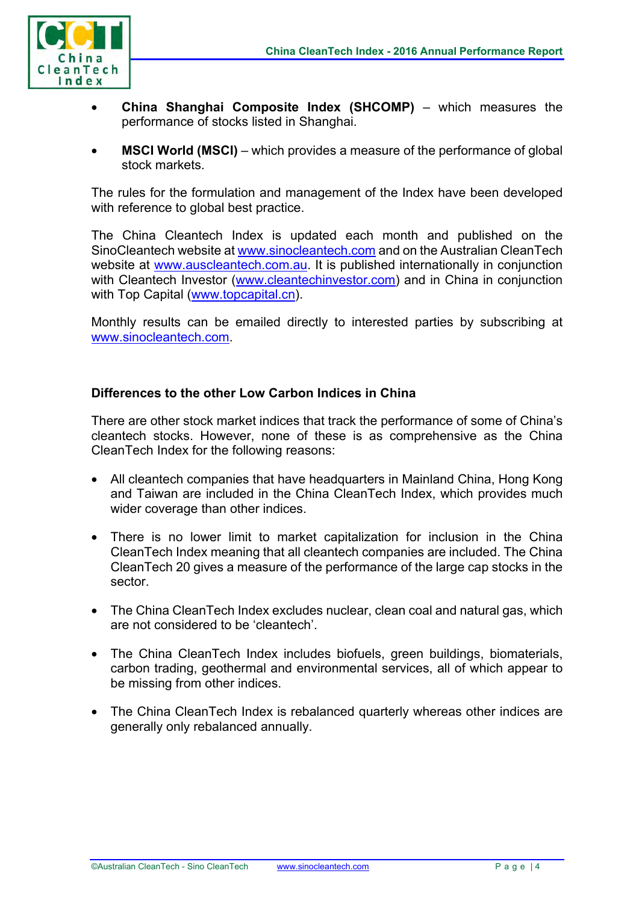

- **China Shanghai Composite Index (SHCOMP)** which measures the performance of stocks listed in Shanghai.
- **MSCI World (MSCI)** which provides a measure of the performance of global stock markets.

The rules for the formulation and management of the Index have been developed with reference to global best practice.

The China Cleantech Index is updated each month and published on the SinoCleantech website at www.sinocleantech.com and on the Australian CleanTech website at www.auscleantech.com.au. It is published internationally in conjunction with Cleantech Investor (www.cleantechinvestor.com) and in China in conjunction with Top Capital (www.topcapital.cn).

Monthly results can be emailed directly to interested parties by subscribing at www.sinocleantech.com.

#### **Differences to the other Low Carbon Indices in China**

There are other stock market indices that track the performance of some of China's cleantech stocks. However, none of these is as comprehensive as the China CleanTech Index for the following reasons:

- All cleantech companies that have headquarters in Mainland China, Hong Kong and Taiwan are included in the China CleanTech Index, which provides much wider coverage than other indices.
- There is no lower limit to market capitalization for inclusion in the China CleanTech Index meaning that all cleantech companies are included. The China CleanTech 20 gives a measure of the performance of the large cap stocks in the sector.
- The China CleanTech Index excludes nuclear, clean coal and natural gas, which are not considered to be 'cleantech'.
- The China CleanTech Index includes biofuels, green buildings, biomaterials, carbon trading, geothermal and environmental services, all of which appear to be missing from other indices.
- The China CleanTech Index is rebalanced quarterly whereas other indices are generally only rebalanced annually.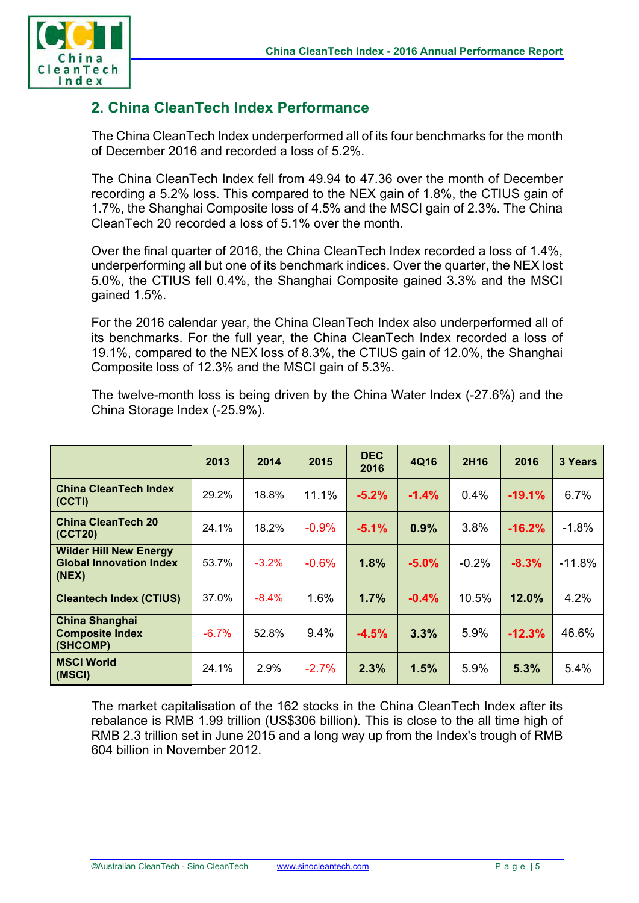

# **2. China CleanTech Index Performance**

The China CleanTech Index underperformed all of its four benchmarks for the month of December 2016 and recorded a loss of 5.2%.

The China CleanTech Index fell from 49.94 to 47.36 over the month of December recording a 5.2% loss. This compared to the NEX gain of 1.8%, the CTIUS gain of 1.7%, the Shanghai Composite loss of 4.5% and the MSCI gain of 2.3%. The China CleanTech 20 recorded a loss of 5.1% over the month.

Over the final quarter of 2016, the China CleanTech Index recorded a loss of 1.4%, underperforming all but one of its benchmark indices. Over the quarter, the NEX lost 5.0%, the CTIUS fell 0.4%, the Shanghai Composite gained 3.3% and the MSCI gained 1.5%.

For the 2016 calendar year, the China CleanTech Index also underperformed all of its benchmarks. For the full year, the China CleanTech Index recorded a loss of 19.1%, compared to the NEX loss of 8.3%, the CTIUS gain of 12.0%, the Shanghai Composite loss of 12.3% and the MSCI gain of 5.3%.

The twelve-month loss is being driven by the China Water Index (-27.6%) and the China Storage Index (-25.9%).

|                                                                          | 2013    | 2014     | 2015     | <b>DEC</b><br>2016 | 4Q16    | 2H16    | 2016     | 3 Years  |
|--------------------------------------------------------------------------|---------|----------|----------|--------------------|---------|---------|----------|----------|
| <b>China CleanTech Index</b><br>(CCTI)                                   | 29.2%   | 18.8%    | 11.1%    | $-5.2%$            | $-1.4%$ | 0.4%    | $-19.1%$ | 6.7%     |
| <b>China CleanTech 20</b><br>(CCT20)                                     | 24.1%   | 18.2%    | $-0.9%$  | $-5.1%$            | 0.9%    | 3.8%    | $-16.2%$ | $-1.8%$  |
| <b>Wilder Hill New Energy</b><br><b>Global Innovation Index</b><br>(NEX) | 53.7%   | $-3.2%$  | $-0.6%$  | 1.8%               | $-5.0%$ | $-0.2%$ | $-8.3%$  | $-11.8%$ |
| <b>Cleantech Index (CTIUS)</b>                                           | 37.0%   | $-8.4\%$ | 1.6%     | 1.7%               | $-0.4%$ | 10.5%   | 12.0%    | 4.2%     |
| <b>China Shanghai</b><br><b>Composite Index</b><br>(SHCOMP)              | $-6.7%$ | 52.8%    | 9.4%     | $-4.5%$            | 3.3%    | 5.9%    | $-12.3%$ | 46.6%    |
| <b>MSCI World</b><br>(MSCI)                                              | 24.1%   | 2.9%     | $-2.7\%$ | 2.3%               | 1.5%    | 5.9%    | 5.3%     | 5.4%     |

The market capitalisation of the 162 stocks in the China CleanTech Index after its rebalance is RMB 1.99 trillion (US\$306 billion). This is close to the all time high of RMB 2.3 trillion set in June 2015 and a long way up from the Index's trough of RMB 604 billion in November 2012.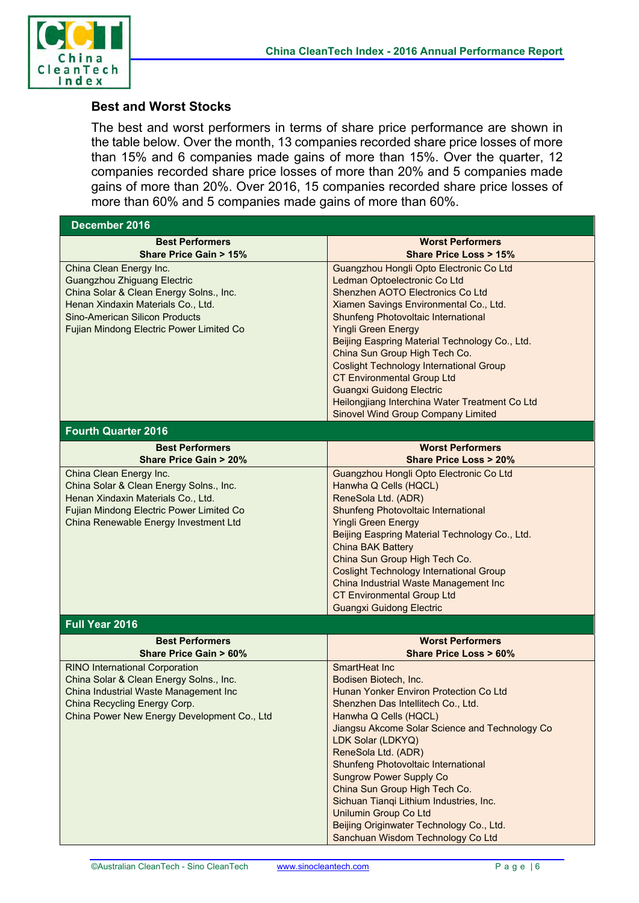

#### **Best and Worst Stocks**

The best and worst performers in terms of share price performance are shown in the table below. Over the month, 13 companies recorded share price losses of more than 15% and 6 companies made gains of more than 15%. Over the quarter, 12 companies recorded share price losses of more than 20% and 5 companies made gains of more than 20%. Over 2016, 15 companies recorded share price losses of more than 60% and 5 companies made gains of more than 60%.

| December 2016                                                                                                                                                                                                                       |                                                                                                                                                                                                                                                                                                                                                                                                                                                                                                                                        |
|-------------------------------------------------------------------------------------------------------------------------------------------------------------------------------------------------------------------------------------|----------------------------------------------------------------------------------------------------------------------------------------------------------------------------------------------------------------------------------------------------------------------------------------------------------------------------------------------------------------------------------------------------------------------------------------------------------------------------------------------------------------------------------------|
| <b>Best Performers</b><br>Share Price Gain > 15%                                                                                                                                                                                    | <b>Worst Performers</b><br><b>Share Price Loss &gt; 15%</b>                                                                                                                                                                                                                                                                                                                                                                                                                                                                            |
| China Clean Energy Inc.<br><b>Guangzhou Zhiguang Electric</b><br>China Solar & Clean Energy Solns., Inc.<br>Henan Xindaxin Materials Co., Ltd.<br><b>Sino-American Silicon Products</b><br>Fujian Mindong Electric Power Limited Co | Guangzhou Hongli Opto Electronic Co Ltd<br>Ledman Optoelectronic Co Ltd<br>Shenzhen AOTO Electronics Co Ltd<br>Xiamen Savings Environmental Co., Ltd.<br>Shunfeng Photovoltaic International<br><b>Yingli Green Energy</b><br>Beijing Easpring Material Technology Co., Ltd.<br>China Sun Group High Tech Co.<br><b>Coslight Technology International Group</b><br><b>CT Environmental Group Ltd</b><br><b>Guangxi Guidong Electric</b><br>Heilongjiang Interchina Water Treatment Co Ltd<br><b>Sinovel Wind Group Company Limited</b> |
| <b>Fourth Quarter 2016</b>                                                                                                                                                                                                          |                                                                                                                                                                                                                                                                                                                                                                                                                                                                                                                                        |
| <b>Best Performers</b><br><b>Share Price Gain &gt; 20%</b>                                                                                                                                                                          | <b>Worst Performers</b><br><b>Share Price Loss &gt; 20%</b>                                                                                                                                                                                                                                                                                                                                                                                                                                                                            |
| China Clean Energy Inc.<br>China Solar & Clean Energy Solns., Inc.<br>Henan Xindaxin Materials Co., Ltd.<br>Fujian Mindong Electric Power Limited Co<br>China Renewable Energy Investment Ltd                                       | Guangzhou Hongli Opto Electronic Co Ltd<br>Hanwha Q Cells (HQCL)<br>ReneSola Ltd. (ADR)<br>Shunfeng Photovoltaic International<br><b>Yingli Green Energy</b><br>Beijing Easpring Material Technology Co., Ltd.<br><b>China BAK Battery</b><br>China Sun Group High Tech Co.<br><b>Coslight Technology International Group</b><br>China Industrial Waste Management Inc<br><b>CT Environmental Group Ltd</b><br><b>Guangxi Guidong Electric</b>                                                                                         |
| Full Year 2016                                                                                                                                                                                                                      |                                                                                                                                                                                                                                                                                                                                                                                                                                                                                                                                        |
| <b>Best Performers</b><br><b>Share Price Gain &gt; 60%</b>                                                                                                                                                                          | <b>Worst Performers</b><br>Share Price Loss > 60%                                                                                                                                                                                                                                                                                                                                                                                                                                                                                      |
| <b>RINO International Corporation</b><br>China Solar & Clean Energy Solns., Inc.<br>China Industrial Waste Management Inc<br>China Recycling Energy Corp.<br>China Power New Energy Development Co., Ltd                            | SmartHeat Inc<br>Bodisen Biotech, Inc.<br>Hunan Yonker Environ Protection Co Ltd<br>Shenzhen Das Intellitech Co., Ltd.<br>Hanwha Q Cells (HQCL)<br>Jiangsu Akcome Solar Science and Technology Co<br>LDK Solar (LDKYQ)<br>ReneSola Ltd. (ADR)<br>Shunfeng Photovoltaic International<br><b>Sungrow Power Supply Co</b><br>China Sun Group High Tech Co.<br>Sichuan Tianqi Lithium Industries, Inc.<br><b>Unilumin Group Co Ltd</b><br>Beijing Originwater Technology Co., Ltd.<br>Sanchuan Wisdom Technology Co Ltd                    |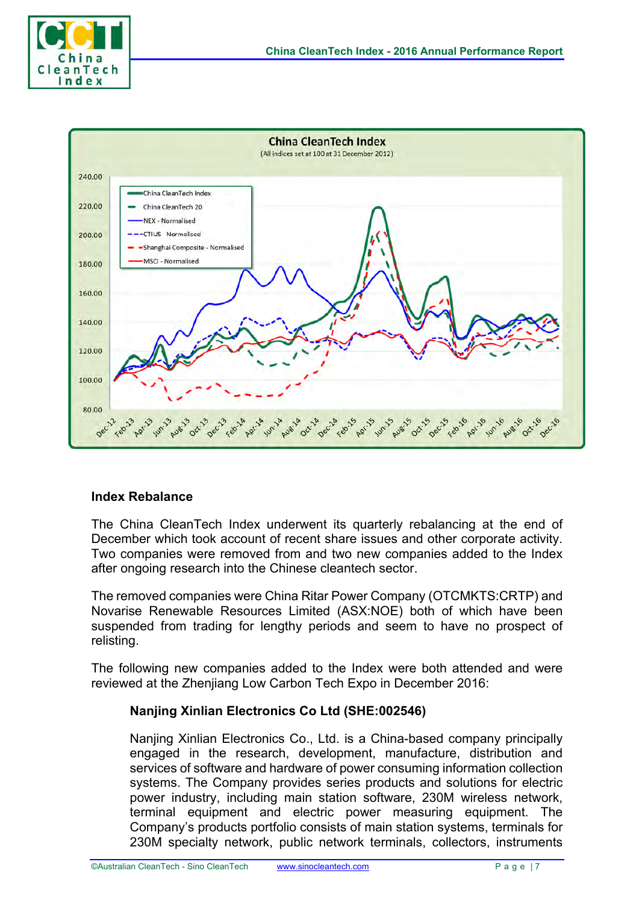



#### **Index Rebalance**

The China CleanTech Index underwent its quarterly rebalancing at the end of December which took account of recent share issues and other corporate activity. Two companies were removed from and two new companies added to the Index after ongoing research into the Chinese cleantech sector.

The removed companies were China Ritar Power Company (OTCMKTS:CRTP) and Novarise Renewable Resources Limited (ASX:NOE) both of which have been suspended from trading for lengthy periods and seem to have no prospect of relisting.

The following new companies added to the Index were both attended and were reviewed at the Zhenjiang Low Carbon Tech Expo in December 2016:

#### **Nanjing Xinlian Electronics Co Ltd (SHE:002546)**

Nanjing Xinlian Electronics Co., Ltd. is a China-based company principally engaged in the research, development, manufacture, distribution and services of software and hardware of power consuming information collection systems. The Company provides series products and solutions for electric power industry, including main station software, 230M wireless network, terminal equipment and electric power measuring equipment. The Company's products portfolio consists of main station systems, terminals for 230M specialty network, public network terminals, collectors, instruments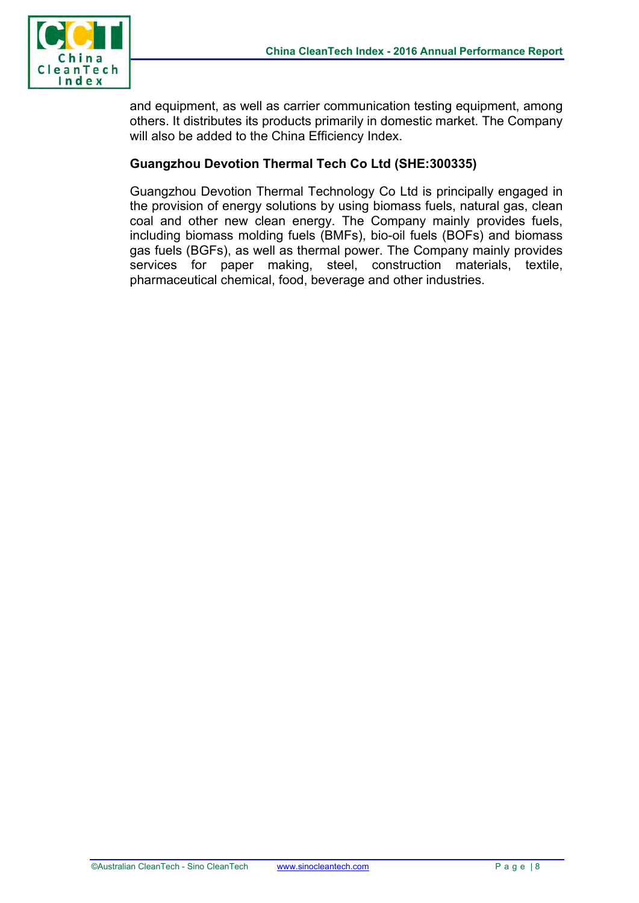

and equipment, as well as carrier communication testing equipment, among others. It distributes its products primarily in domestic market. The Company will also be added to the China Efficiency Index.

#### **Guangzhou Devotion Thermal Tech Co Ltd (SHE:300335)**

Guangzhou Devotion Thermal Technology Co Ltd is principally engaged in the provision of energy solutions by using biomass fuels, natural gas, clean coal and other new clean energy. The Company mainly provides fuels, including biomass molding fuels (BMFs), bio-oil fuels (BOFs) and biomass gas fuels (BGFs), as well as thermal power. The Company mainly provides services for paper making, steel, construction materials, textile, pharmaceutical chemical, food, beverage and other industries.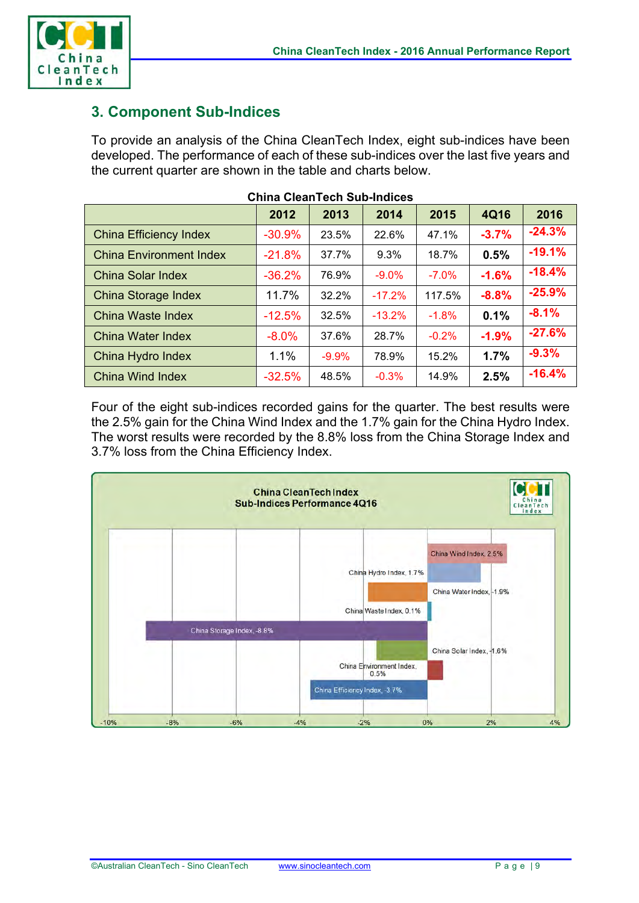

# **3. Component Sub-Indices**

To provide an analysis of the China CleanTech Index, eight sub-indices have been developed. The performance of each of these sub-indices over the last five years and the current quarter are shown in the table and charts below.

|                                | 2012     | 2013     | 2014     | 2015     | <b>4Q16</b> | 2016     |
|--------------------------------|----------|----------|----------|----------|-------------|----------|
| <b>China Efficiency Index</b>  | $-30.9%$ | 23.5%    | 22.6%    | 47.1%    | $-3.7%$     | $-24.3%$ |
| <b>China Environment Index</b> | $-21.8%$ | 37.7%    | 9.3%     | 18.7%    | 0.5%        | $-19.1%$ |
| China Solar Index              | $-36.2%$ | 76.9%    | $-9.0%$  | $-7.0\%$ | $-1.6%$     | $-18.4%$ |
| <b>China Storage Index</b>     | 11.7%    | $32.2\%$ | $-17.2%$ | 117.5%   | $-8.8%$     | $-25.9%$ |
| China Waste Index              | $-12.5%$ | 32.5%    | $-13.2%$ | $-1.8%$  | 0.1%        | $-8.1%$  |
| China Water Index              | $-8.0%$  | 37.6%    | 28.7%    | $-0.2%$  | $-1.9%$     | $-27.6%$ |
| China Hydro Index              | 1.1%     | $-9.9%$  | 78.9%    | 15.2%    | 1.7%        | $-9.3%$  |
| China Wind Index               | $-32.5%$ | 48.5%    | $-0.3%$  | 14.9%    | 2.5%        | $-16.4%$ |

#### **China CleanTech Sub-Indices**

Four of the eight sub-indices recorded gains for the quarter. The best results were the 2.5% gain for the China Wind Index and the 1.7% gain for the China Hydro Index. The worst results were recorded by the 8.8% loss from the China Storage Index and 3.7% loss from the China Efficiency Index.

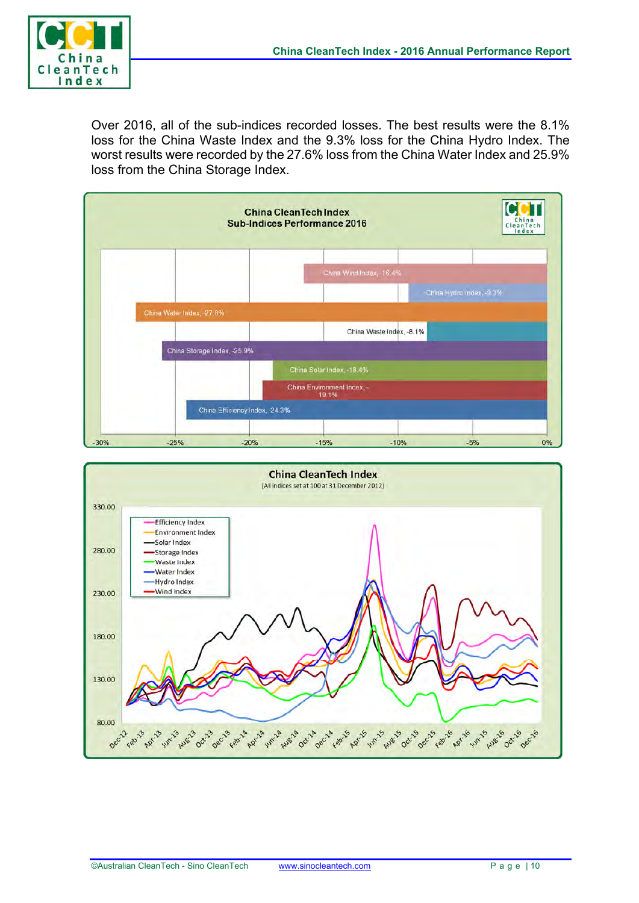

Over 2016, all of the sub-indices recorded losses. The best results were the 8.1% loss for the China Waste Index and the 9.3% loss for the China Hydro Index. The worst results were recorded by the 27.6% loss from the China Water Index and 25.9% loss from the China Storage Index.



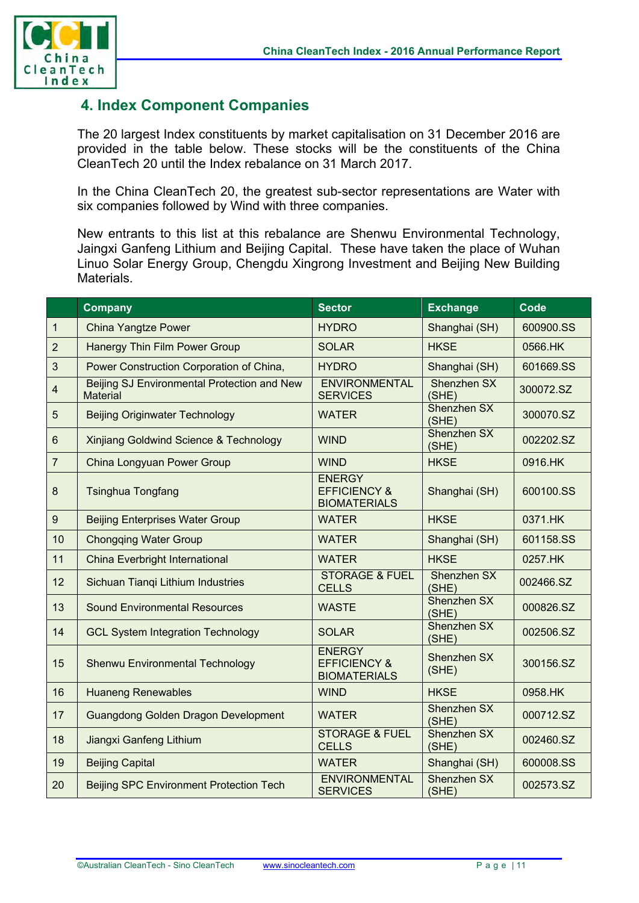

# **4. Index Component Companies**

The 20 largest Index constituents by market capitalisation on 31 December 2016 are provided in the table below. These stocks will be the constituents of the China CleanTech 20 until the Index rebalance on 31 March 2017.

In the China CleanTech 20, the greatest sub-sector representations are Water with six companies followed by Wind with three companies.

New entrants to this list at this rebalance are Shenwu Environmental Technology, Jaingxi Ganfeng Lithium and Beijing Capital. These have taken the place of Wuhan Linuo Solar Energy Group, Chengdu Xingrong Investment and Beijing New Building Materials.

|                  | <b>Company</b>                                                 | <b>Sector</b>                                                   | <b>Exchange</b>             | Code      |
|------------------|----------------------------------------------------------------|-----------------------------------------------------------------|-----------------------------|-----------|
| $\mathbf{1}$     | <b>China Yangtze Power</b>                                     | <b>HYDRO</b>                                                    | Shanghai (SH)               | 600900.SS |
| $\overline{2}$   | <b>Hanergy Thin Film Power Group</b>                           | <b>SOLAR</b>                                                    | <b>HKSE</b>                 | 0566.HK   |
| $\mathbf{3}$     | Power Construction Corporation of China,                       | <b>HYDRO</b>                                                    | Shanghai (SH)               | 601669.SS |
| $\overline{4}$   | Beijing SJ Environmental Protection and New<br><b>Material</b> | <b>ENVIRONMENTAL</b><br><b>SERVICES</b>                         | Shenzhen SX<br>(SHE)        | 300072.SZ |
| 5                | <b>Beijing Originwater Technology</b>                          | <b>WATER</b>                                                    | Shenzhen SX<br>(SHE)        | 300070.SZ |
| 6                | Xinjiang Goldwind Science & Technology                         | <b>WIND</b>                                                     | Shenzhen SX<br>(SHE)        | 002202.SZ |
| $\overline{7}$   | China Longyuan Power Group                                     | <b>WIND</b>                                                     | <b>HKSE</b>                 | 0916.HK   |
| $\bf 8$          | <b>Tsinghua Tongfang</b>                                       | <b>ENERGY</b><br><b>EFFICIENCY &amp;</b><br><b>BIOMATERIALS</b> | Shanghai (SH)               | 600100.SS |
| $\boldsymbol{9}$ | <b>Beijing Enterprises Water Group</b>                         | <b>WATER</b>                                                    | <b>HKSE</b>                 | 0371.HK   |
| 10               | <b>Chongqing Water Group</b>                                   | <b>WATER</b>                                                    | Shanghai (SH)               | 601158.SS |
| 11               | <b>China Everbright International</b>                          | <b>WATER</b>                                                    | <b>HKSE</b>                 | 0257.HK   |
| 12               | Sichuan Tiangi Lithium Industries                              | <b>STORAGE &amp; FUEL</b><br><b>CELLS</b>                       | Shenzhen SX<br>(SHE)        | 002466.SZ |
| 13               | <b>Sound Environmental Resources</b>                           | <b>WASTE</b>                                                    | Shenzhen SX<br>(SHE)        | 000826.SZ |
| 14               | <b>GCL System Integration Technology</b>                       | <b>SOLAR</b>                                                    | Shenzhen SX<br>(SHE)        | 002506.SZ |
| 15               | <b>Shenwu Environmental Technology</b>                         | <b>ENERGY</b><br><b>EFFICIENCY &amp;</b><br><b>BIOMATERIALS</b> | <b>Shenzhen SX</b><br>(SHE) | 300156.SZ |
| 16               | <b>Huaneng Renewables</b>                                      | <b>WIND</b>                                                     | <b>HKSE</b>                 | 0958.HK   |
| 17               | Guangdong Golden Dragon Development                            | <b>WATER</b>                                                    | Shenzhen SX<br>(SHE)        | 000712.SZ |
| 18               | Jiangxi Ganfeng Lithium                                        | <b>STORAGE &amp; FUEL</b><br><b>CELLS</b>                       | Shenzhen SX<br>(SHE)        | 002460.SZ |
| 19               | <b>Beijing Capital</b>                                         | <b>WATER</b>                                                    | Shanghai (SH)               | 600008.SS |
| 20               | <b>Beijing SPC Environment Protection Tech</b>                 | <b>ENVIRONMENTAL</b><br><b>SERVICES</b>                         | <b>Shenzhen SX</b><br>(SHE) | 002573.SZ |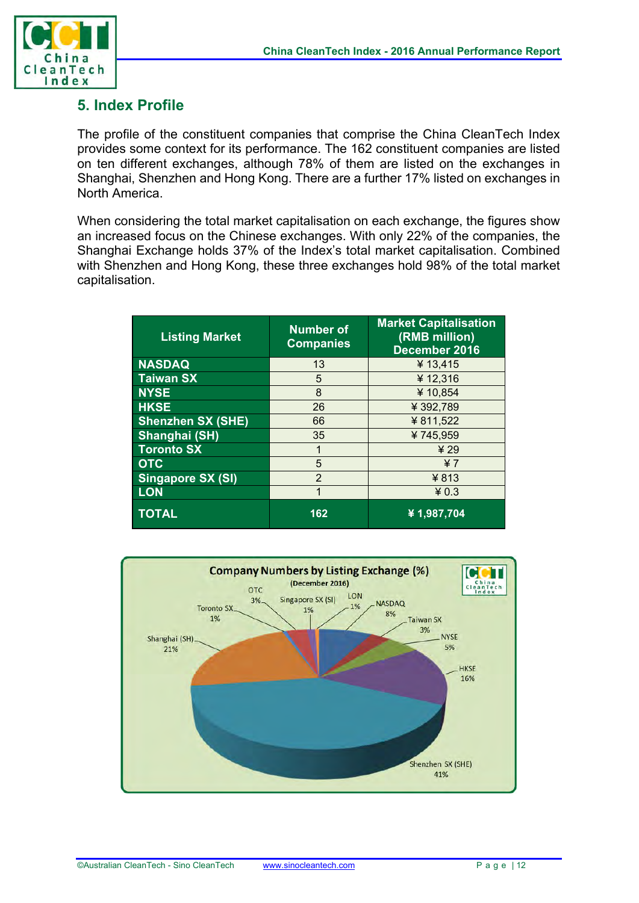

### **5. Index Profile**

The profile of the constituent companies that comprise the China CleanTech Index provides some context for its performance. The 162 constituent companies are listed on ten different exchanges, although 78% of them are listed on the exchanges in Shanghai, Shenzhen and Hong Kong. There are a further 17% listed on exchanges in North America.

When considering the total market capitalisation on each exchange, the figures show an increased focus on the Chinese exchanges. With only 22% of the companies, the Shanghai Exchange holds 37% of the Index's total market capitalisation. Combined with Shenzhen and Hong Kong, these three exchanges hold 98% of the total market capitalisation.

| <b>Listing Market</b>    | <b>Number of</b><br><b>Companies</b> | <b>Market Capitalisation</b><br>(RMB million)<br>December 2016 |
|--------------------------|--------------------------------------|----------------------------------------------------------------|
| <b>NASDAQ</b>            | 13                                   | ¥ 13,415                                                       |
| <b>Taiwan SX</b>         | 5                                    | ¥12,316                                                        |
| <b>NYSE</b>              | 8                                    | ¥10,854                                                        |
| <b>HKSE</b>              | 26                                   | ¥392,789                                                       |
| <b>Shenzhen SX (SHE)</b> | 66                                   | ¥811,522                                                       |
| Shanghai (SH)            | 35                                   | ¥745,959                                                       |
| <b>Toronto SX</b>        |                                      | 429                                                            |
| <b>OTC</b>               | 5                                    | 47                                                             |
| <b>Singapore SX (SI)</b> | $\overline{2}$                       | $¥$ 813                                                        |
| <b>LON</b>               | 1                                    | $*0.3$                                                         |
| <b>TOTAL</b>             | 162                                  | ¥1,987,704                                                     |

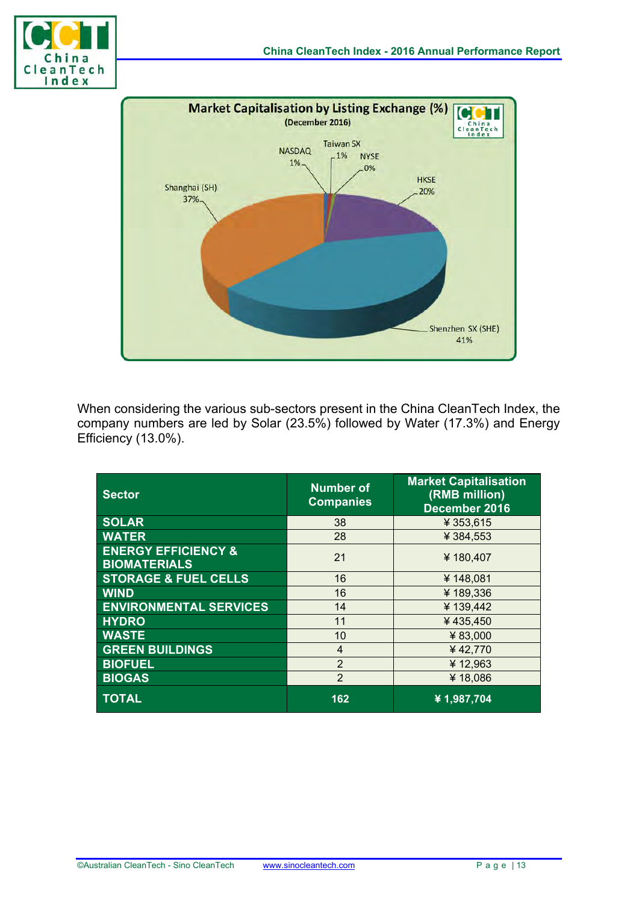



When considering the various sub-sectors present in the China CleanTech Index, the company numbers are led by Solar (23.5%) followed by Water (17.3%) and Energy Efficiency (13.0%).

| <b>Sector</b>                                         | <b>Number of</b><br><b>Companies</b> | <b>Market Capitalisation</b><br>(RMB million)<br>December 2016 |
|-------------------------------------------------------|--------------------------------------|----------------------------------------------------------------|
| <b>SOLAR</b>                                          | 38                                   | ¥ 353,615                                                      |
| <b>WATER</b>                                          | 28                                   | ¥ 384,553                                                      |
| <b>ENERGY EFFICIENCY &amp;</b><br><b>BIOMATERIALS</b> | 21                                   | ¥180,407                                                       |
| <b>STORAGE &amp; FUEL CELLS</b>                       | 16                                   | ¥148,081                                                       |
| <b>WIND</b>                                           | 16                                   | ¥189,336                                                       |
| <b>ENVIRONMENTAL SERVICES</b>                         | 14                                   | ¥139,442                                                       |
| <b>HYDRO</b>                                          | 11                                   | ¥435,450                                                       |
| <b>WASTE</b>                                          | 10                                   | ¥83,000                                                        |
| <b>GREEN BUILDINGS</b>                                | $\overline{4}$                       | ¥42,770                                                        |
| <b>BIOFUEL</b>                                        | $\mathcal{P}$                        | ¥12,963                                                        |
| <b>BIOGAS</b>                                         | $\overline{2}$                       | ¥18,086                                                        |
| <b>TOTAL</b>                                          | 162                                  | ¥1,987,704                                                     |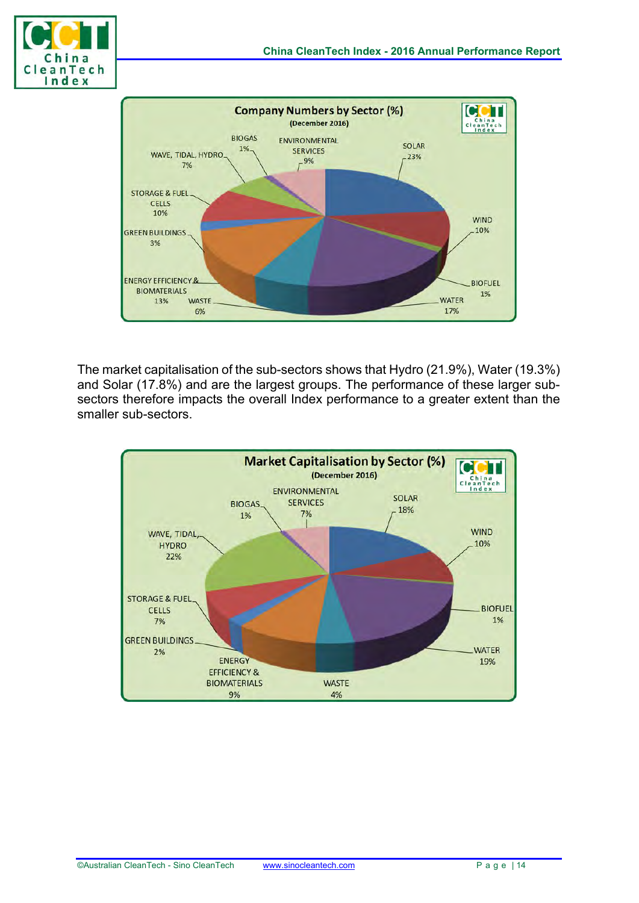



The market capitalisation of the sub-sectors shows that Hydro (21.9%), Water (19.3%) and Solar (17.8%) and are the largest groups. The performance of these larger subsectors therefore impacts the overall Index performance to a greater extent than the smaller sub-sectors.